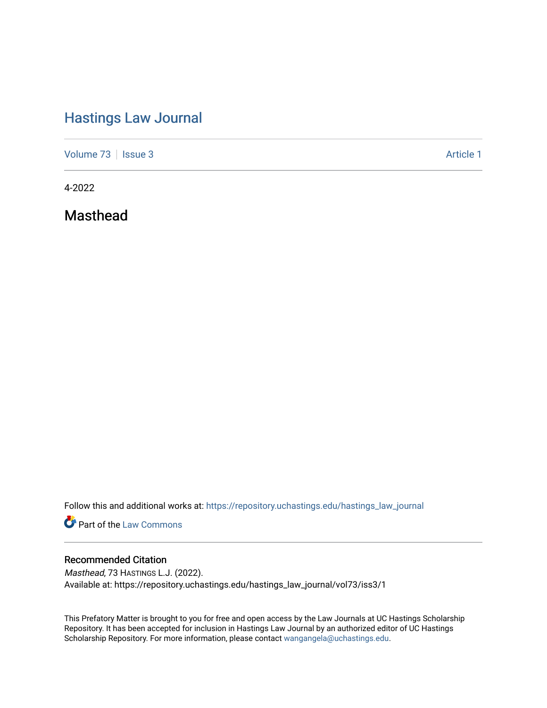# [Hastings Law Journal](https://repository.uchastings.edu/hastings_law_journal)

[Volume 73](https://repository.uchastings.edu/hastings_law_journal/vol73) | [Issue 3](https://repository.uchastings.edu/hastings_law_journal/vol73/iss3) Article 1

4-2022

Masthead

Follow this and additional works at: [https://repository.uchastings.edu/hastings\\_law\\_journal](https://repository.uchastings.edu/hastings_law_journal?utm_source=repository.uchastings.edu%2Fhastings_law_journal%2Fvol73%2Fiss3%2F1&utm_medium=PDF&utm_campaign=PDFCoverPages) 

**Part of the [Law Commons](http://network.bepress.com/hgg/discipline/578?utm_source=repository.uchastings.edu%2Fhastings_law_journal%2Fvol73%2Fiss3%2F1&utm_medium=PDF&utm_campaign=PDFCoverPages)** 

## Recommended Citation

Masthead, 73 HASTINGS L.J. (2022). Available at: https://repository.uchastings.edu/hastings\_law\_journal/vol73/iss3/1

This Prefatory Matter is brought to you for free and open access by the Law Journals at UC Hastings Scholarship Repository. It has been accepted for inclusion in Hastings Law Journal by an authorized editor of UC Hastings Scholarship Repository. For more information, please contact [wangangela@uchastings.edu.](mailto:wangangela@uchastings.edu)